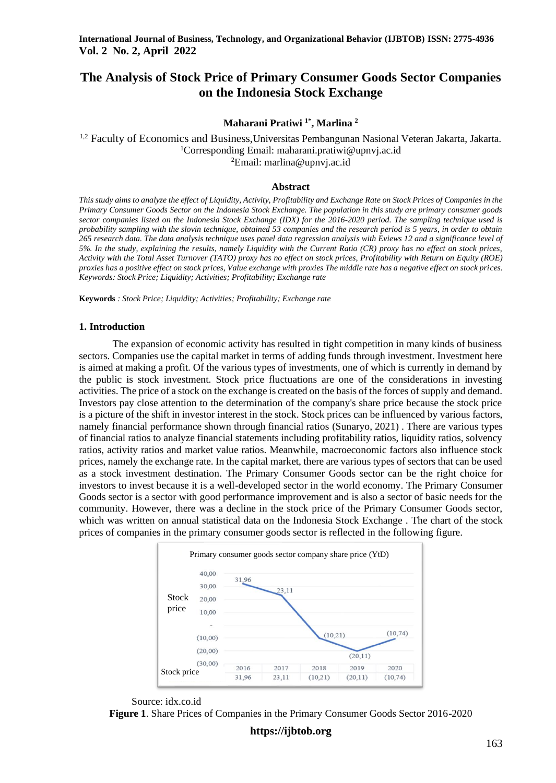# **The Analysis of Stock Price of Primary Consumer Goods Sector Companies on the Indonesia Stock Exchange**

## **Maharani Pratiwi 1\*, Marlina <sup>2</sup>**

<sup>1,2</sup> Faculty of Economics and Business, Universitas Pembangunan Nasional Veteran Jakarta, Jakarta. <sup>1</sup>Corresponding Email: maharani.pratiwi@upnyj.ac.id <sup>2</sup>Email: [marlina@upnvj.ac.id](mailto:marlina@upnvj.ac.id)

### **Abstract**

*This study aims to analyze the effect of Liquidity, Activity, Profitability and Exchange Rate on Stock Prices of Companies in the Primary Consumer Goods Sector on the Indonesia Stock Exchange. The population in this study are primary consumer goods sector companies listed on the Indonesia Stock Exchange (IDX) for the 2016-2020 period. The sampling technique used is probability sampling with the slovin technique, obtained 53 companies and the research period is 5 years, in order to obtain 265 research data. The data analysis technique uses panel data regression analysis with Eviews 12 and a significance level of 5%. In the study, explaining the results, namely Liquidity with the Current Ratio (CR) proxy has no effect on stock prices, Activity with the Total Asset Turnover (TATO) proxy has no effect on stock prices, Profitability with Return on Equity (ROE) proxies has a positive effect on stock prices, Value exchange with proxies The middle rate has a negative effect on stock prices. Keywords: Stock Price; Liquidity; Activities; Profitability; Exchange rate*

**Keywords** *: Stock Price; Liquidity; Activities; Profitability; Exchange rate*

#### **1. Introduction**

The expansion of economic activity has resulted in tight competition in many kinds of business sectors. Companies use the capital market in terms of adding funds through investment. Investment here is aimed at making a profit. Of the various types of investments, one of which is currently in demand by the public is stock investment. Stock price fluctuations are one of the considerations in investing activities. The price of a stock on the exchange is created on the basis of the forces of supply and demand. Investors pay close attention to the determination of the company's share price because the stock price is a picture of the shift in investor interest in the stock. Stock prices can be influenced by various factors, namely financial performance shown through financial ratios (Sunaryo, 2021) . There are various types of financial ratios to analyze financial statements including profitability ratios, liquidity ratios, solvency ratios, activity ratios and market value ratios. Meanwhile, macroeconomic factors also influence stock prices, namely the exchange rate. In the capital market, there are various types of sectors that can be used as a stock investment destination. The Primary Consumer Goods sector can be the right choice for investors to invest because it is a well-developed sector in the world economy. The Primary Consumer Goods sector is a sector with good performance improvement and is also a sector of basic needs for the community. However, there was a decline in the stock price of the Primary Consumer Goods sector, which was written on annual statistical data on the Indonesia Stock Exchange *.* The chart of the stock prices of companies in the primary consumer goods sector is reflected in the following figure.





**Figure 1**. Share Prices of Companies in the Primary Consumer Goods Sector 2016-2020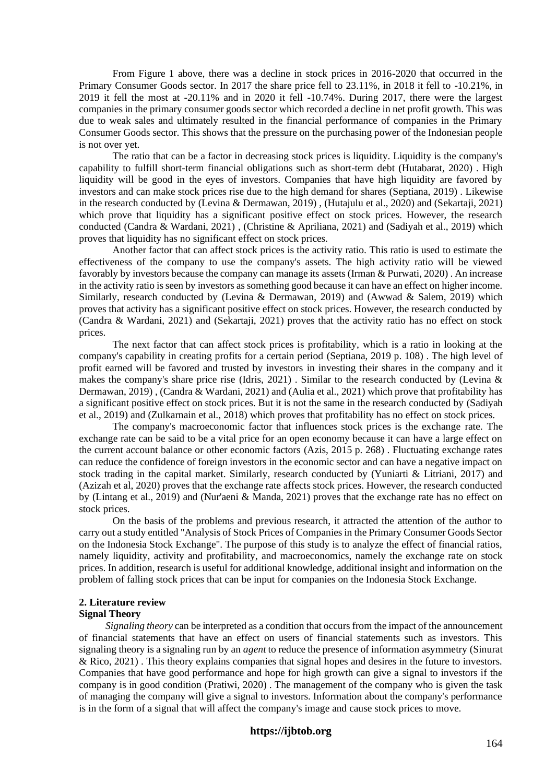From Figure 1 above, there was a decline in stock prices in 2016-2020 that occurred in the Primary Consumer Goods sector. In 2017 the share price fell to 23.11%, in 2018 it fell to -10.21%, in 2019 it fell the most at -20.11% and in 2020 it fell -10.74%. During 2017, there were the largest companies in the primary consumer goods sector which recorded a decline in net profit growth. This was due to weak sales and ultimately resulted in the financial performance of companies in the Primary Consumer Goods sector. This shows that the pressure on the purchasing power of the Indonesian people is not over yet.

The ratio that can be a factor in decreasing stock prices is liquidity. Liquidity is the company's capability to fulfill short-term financial obligations such as short-term debt (Hutabarat, 2020) . High liquidity will be good in the eyes of investors. Companies that have high liquidity are favored by investors and can make stock prices rise due to the high demand for shares (Septiana, 2019) . Likewise in the research conducted by (Levina & Dermawan, 2019) , (Hutajulu et al., 2020) and (Sekartaji, 2021) which prove that liquidity has a significant positive effect on stock prices. However, the research conducted (Candra & Wardani, 2021) , (Christine & Apriliana, 2021) and (Sadiyah et al., 2019) which proves that liquidity has no significant effect on stock prices.

Another factor that can affect stock prices is the activity ratio. This ratio is used to estimate the effectiveness of the company to use the company's assets. The high activity ratio will be viewed favorably by investors because the company can manage its assets (Irman & Purwati, 2020) . An increase in the activity ratio is seen by investors as something good because it can have an effect on higher income. Similarly, research conducted by (Levina & Dermawan, 2019) and (Awwad & Salem, 2019) which proves that activity has a significant positive effect on stock prices. However, the research conducted by (Candra & Wardani, 2021) and (Sekartaji, 2021) proves that the activity ratio has no effect on stock prices.

The next factor that can affect stock prices is profitability, which is a ratio in looking at the company's capability in creating profits for a certain period (Septiana, 2019 p. 108) . The high level of profit earned will be favored and trusted by investors in investing their shares in the company and it makes the company's share price rise (Idris, 2021). Similar to the research conducted by (Levina  $\&$ Dermawan, 2019) , (Candra & Wardani, 2021) and (Aulia et al., 2021) which prove that profitability has a significant positive effect on stock prices. But it is not the same in the research conducted by (Sadiyah et al., 2019) and (Zulkarnain et al., 2018) which proves that profitability has no effect on stock prices.

The company's macroeconomic factor that influences stock prices is the exchange rate. The exchange rate can be said to be a vital price for an open economy because it can have a large effect on the current account balance or other economic factors (Azis, 2015 p. 268) . Fluctuating exchange rates can reduce the confidence of foreign investors in the economic sector and can have a negative impact on stock trading in the capital market. Similarly, research conducted by (Yuniarti & Litriani, 2017) and (Azizah et al, 2020) proves that the exchange rate affects stock prices. However, the research conducted by (Lintang et al., 2019) and (Nur'aeni & Manda, 2021) proves that the exchange rate has no effect on stock prices.

On the basis of the problems and previous research, it attracted the attention of the author to carry out a study entitled "Analysis of Stock Prices of Companies in the Primary Consumer Goods Sector on the Indonesia Stock Exchange". The purpose of this study is to analyze the effect of financial ratios, namely liquidity, activity and profitability, and macroeconomics, namely the exchange rate on stock prices. In addition, research is useful for additional knowledge, additional insight and information on the problem of falling stock prices that can be input for companies on the Indonesia Stock Exchange.

#### **2. Literature review Signal Theory**

*Signaling theory* can be interpreted as a condition that occurs from the impact of the announcement of financial statements that have an effect on users of financial statements such as investors. This signaling theory is a signaling run by an *agent* to reduce the presence of information asymmetry (Sinurat & Rico, 2021) . This theory explains companies that signal hopes and desires in the future to investors. Companies that have good performance and hope for high growth can give a signal to investors if the company is in good condition (Pratiwi, 2020) . The management of the company who is given the task of managing the company will give a signal to investors. Information about the company's performance is in the form of a signal that will affect the company's image and cause stock prices to move.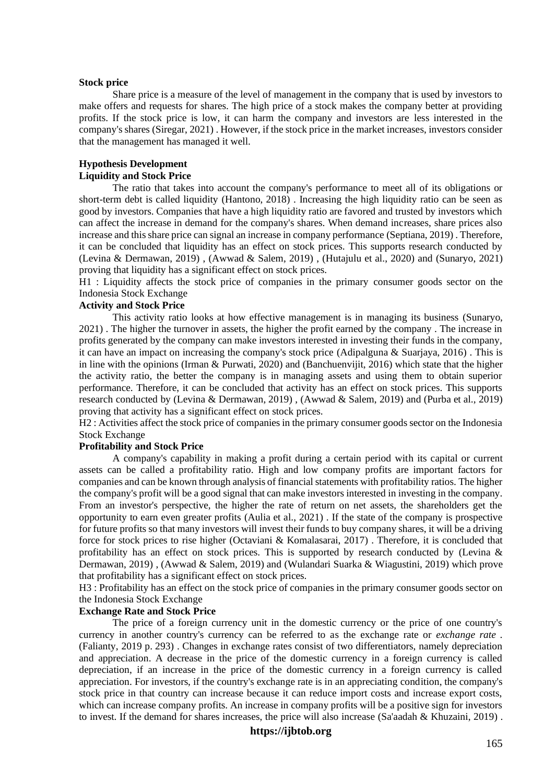#### **Stock price**

Share price is a measure of the level of management in the company that is used by investors to make offers and requests for shares. The high price of a stock makes the company better at providing profits. If the stock price is low, it can harm the company and investors are less interested in the company's shares (Siregar, 2021) . However, if the stock price in the market increases, investors consider that the management has managed it well.

## **Hypothesis Development**

## **Liquidity and Stock Price**

The ratio that takes into account the company's performance to meet all of its obligations or short-term debt is called liquidity (Hantono, 2018) . Increasing the high liquidity ratio can be seen as good by investors. Companies that have a high liquidity ratio are favored and trusted by investors which can affect the increase in demand for the company's shares. When demand increases, share prices also increase and this share price can signal an increase in company performance (Septiana, 2019) . Therefore, it can be concluded that liquidity has an effect on stock prices. This supports research conducted by (Levina & Dermawan, 2019) , (Awwad & Salem, 2019) , (Hutajulu et al., 2020) and (Sunaryo, 2021) proving that liquidity has a significant effect on stock prices.

H1 : Liquidity affects the stock price of companies in the primary consumer goods sector on the Indonesia Stock Exchange

### **Activity and Stock Price**

This activity ratio looks at how effective management is in managing its business (Sunaryo, 2021) . The higher the turnover in assets, the higher the profit earned by the company . The increase in profits generated by the company can make investors interested in investing their funds in the company, it can have an impact on increasing the company's stock price (Adipalguna & Suarjaya, 2016) . This is in line with the opinions (Irman & Purwati, 2020) and (Banchuenvijit, 2016) which state that the higher the activity ratio, the better the company is in managing assets and using them to obtain superior performance. Therefore, it can be concluded that activity has an effect on stock prices. This supports research conducted by (Levina & Dermawan, 2019) , (Awwad & Salem, 2019) and (Purba et al., 2019) proving that activity has a significant effect on stock prices.

H2 : Activities affect the stock price of companies in the primary consumer goods sector on the Indonesia Stock Exchange

#### **Profitability and Stock Price**

A company's capability in making a profit during a certain period with its capital or current assets can be called a profitability ratio. High and low company profits are important factors for companies and can be known through analysis of financial statements with profitability ratios. The higher the company's profit will be a good signal that can make investors interested in investing in the company. From an investor's perspective, the higher the rate of return on net assets, the shareholders get the opportunity to earn even greater profits (Aulia et al., 2021) . If the state of the company is prospective for future profits so that many investors will invest their funds to buy company shares, it will be a driving force for stock prices to rise higher (Octaviani & Komalasarai, 2017) . Therefore, it is concluded that profitability has an effect on stock prices. This is supported by research conducted by (Levina & Dermawan, 2019) , (Awwad & Salem, 2019) and (Wulandari Suarka & Wiagustini, 2019) which prove that profitability has a significant effect on stock prices.

H3 : Profitability has an effect on the stock price of companies in the primary consumer goods sector on the Indonesia Stock Exchange

## **Exchange Rate and Stock Price**

The price of a foreign currency unit in the domestic currency or the price of one country's currency in another country's currency can be referred to as the exchange rate or *exchange rate .* (Falianty, 2019 p. 293) . Changes in exchange rates consist of two differentiators, namely depreciation and appreciation. A decrease in the price of the domestic currency in a foreign currency is called depreciation, if an increase in the price of the domestic currency in a foreign currency is called appreciation. For investors, if the country's exchange rate is in an appreciating condition, the company's stock price in that country can increase because it can reduce import costs and increase export costs, which can increase company profits. An increase in company profits will be a positive sign for investors to invest. If the demand for shares increases, the price will also increase (Sa'aadah  $\&$  Khuzaini, 2019).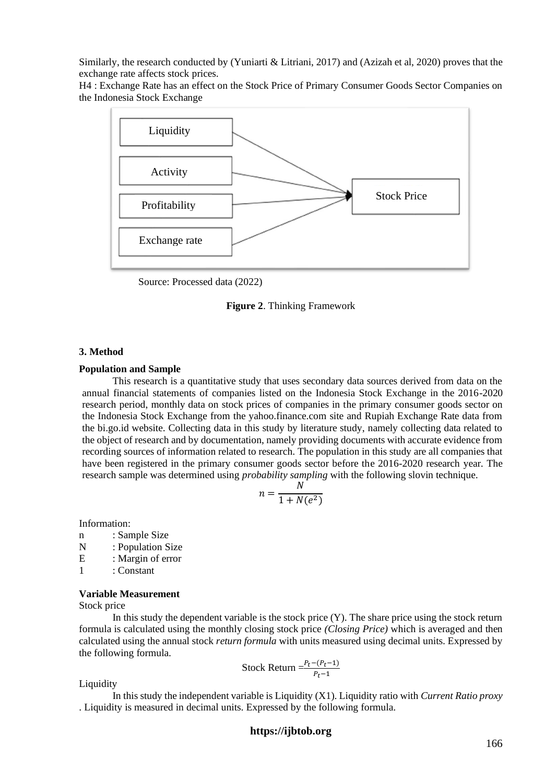Similarly, the research conducted by (Yuniarti & Litriani, 2017) and (Azizah et al, 2020) proves that the exchange rate affects stock prices.

H4 : Exchange Rate has an effect on the Stock Price of Primary Consumer Goods Sector Companies on the Indonesia Stock Exchange



Source: Processed data (2022)

**Figure 2**. Thinking Framework

#### **3. Method**

#### **Population and Sample**

This research is a quantitative study that uses secondary data sources derived from data on the annual financial statements of companies listed on the Indonesia Stock Exchange in the 2016-2020 research period, monthly data on stock prices of companies in the primary consumer goods sector on the Indonesia Stock Exchange from the yahoo.finance.com site and Rupiah Exchange Rate data from the bi.go.id website. Collecting data in this study by literature study, namely collecting data related to the object of research and by documentation, namely providing documents with accurate evidence from recording sources of information related to research. The population in this study are all companies that have been registered in the primary consumer goods sector before the 2016-2020 research year. The research sample was determined using *probability sampling* with the following slovin technique.

$$
n = \frac{N}{1 + N(e^2)}
$$

Information:

- n : Sample Size
- N : Population Size
- E : Margin of error
- 1 : Constant

#### **Variable Measurement**

Stock price

In this study the dependent variable is the stock price  $(Y)$ . The share price using the stock return formula is calculated using the monthly closing stock price *(Closing Price)* which is averaged and then calculated using the annual stock *return formula* with units measured using decimal units. Expressed by the following formula.

Stock Return 
$$
=\frac{P_t - (P_t - 1)}{P_t - 1}
$$

Liquidity

In this study the independent variable is Liquidity (X1). Liquidity ratio with *Current Ratio proxy*  . Liquidity is measured in decimal units. Expressed by the following formula.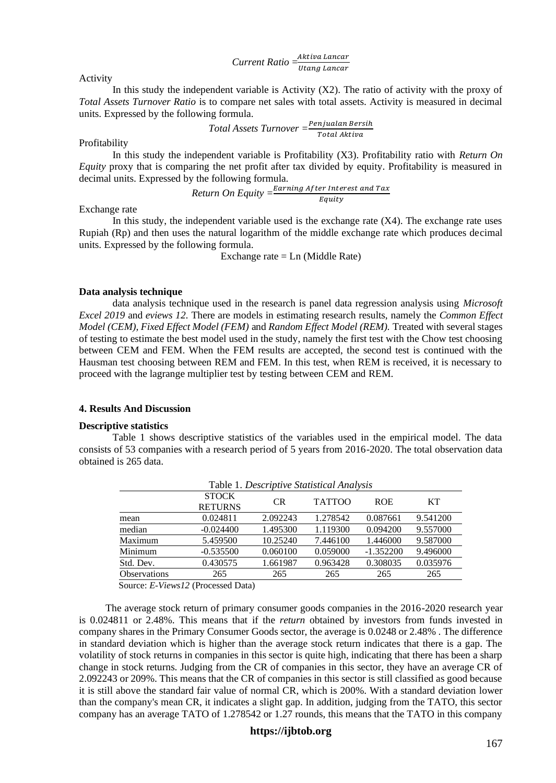*Current Ratio* = Utang Lancar

Activity

In this study the independent variable is Activity  $(X2)$ . The ratio of activity with the proxy of *Total Assets Turnover Ratio* is to compare net sales with total assets. Activity is measured in decimal units. Expressed by the following formula.

$$
Total Assets Turnover = \frac{Penjualan Bersih}{Total Aktiva}
$$

Profitability

In this study the independent variable is Profitability (X3). Profitability ratio with *Return On Equity* proxy that is comparing the net profit after tax divided by equity. Profitability is measured in decimal units. Expressed by the following formula.

*Return On Equity = 
$$
\frac{Earning\ After\ Interest\ and\ Tax}{Equity}
$$*

Exchange rate

In this study, the independent variable used is the exchange rate  $(X4)$ . The exchange rate uses Rupiah (Rp) and then uses the natural logarithm of the middle exchange rate which produces decimal units. Expressed by the following formula.

Exchange rate  $=$  Ln (Middle Rate)

#### **Data analysis technique**

data analysis technique used in the research is panel data regression analysis using *Microsoft Excel 2019* and *eviews 12.* There are models in estimating research results, namely the *Common Effect Model (CEM), Fixed Effect Model (FEM)* and *Random Effect Model (REM).* Treated with several stages of testing to estimate the best model used in the study, namely the first test with the Chow test choosing between CEM and FEM. When the FEM results are accepted, the second test is continued with the Hausman test choosing between REM and FEM. In this test, when REM is received, it is necessary to proceed with the lagrange multiplier test by testing between CEM and REM.

## **4. Results And Discussion**

#### **Descriptive statistics**

Table 1 shows descriptive statistics of the variables used in the empirical model. The data consists of 53 companies with a research period of 5 years from 2016-2020. The total observation data obtained is 265 data.

|                     |                                |           | Table 1. Descriptive Statistical Analysis |             |           |
|---------------------|--------------------------------|-----------|-------------------------------------------|-------------|-----------|
|                     | <b>STOCK</b><br><b>RETURNS</b> | <b>CR</b> | <b>TATTOO</b>                             | <b>ROE</b>  | <b>KT</b> |
| mean                | 0.024811                       | 2.092243  | 1.278542                                  | 0.087661    | 9.541200  |
| median              | $-0.024400$                    | 1.495300  | 1.119300                                  | 0.094200    | 9.557000  |
| Maximum             | 5.459500                       | 10.25240  | 7.446100                                  | 1.446000    | 9.587000  |
| Minimum             | $-0.535500$                    | 0.060100  | 0.059000                                  | $-1.352200$ | 9.496000  |
| Std. Dev.           | 0.430575                       | 1.661987  | 0.963428                                  | 0.308035    | 0.035976  |
| <b>Observations</b> | 265                            | 265       | 265                                       | 265         | 265       |

Source: *E-Views12* (Processed Data)

The average stock return of primary consumer goods companies in the 2016-2020 research year is 0.024811 or 2.48%. This means that if the *return* obtained by investors from funds invested in company shares in the Primary Consumer Goods sector, the average is 0.0248 or 2.48% . The difference in standard deviation which is higher than the average stock return indicates that there is a gap. The volatility of stock returns in companies in this sector is quite high, indicating that there has been a sharp change in stock returns. Judging from the CR of companies in this sector, they have an average CR of 2.092243 or 209%. This means that the CR of companies in this sector is still classified as good because it is still above the standard fair value of normal CR, which is 200%. With a standard deviation lower than the company's mean CR, it indicates a slight gap. In addition, judging from the TATO, this sector company has an average TATO of 1.278542 or 1.27 rounds, this means that the TATO in this company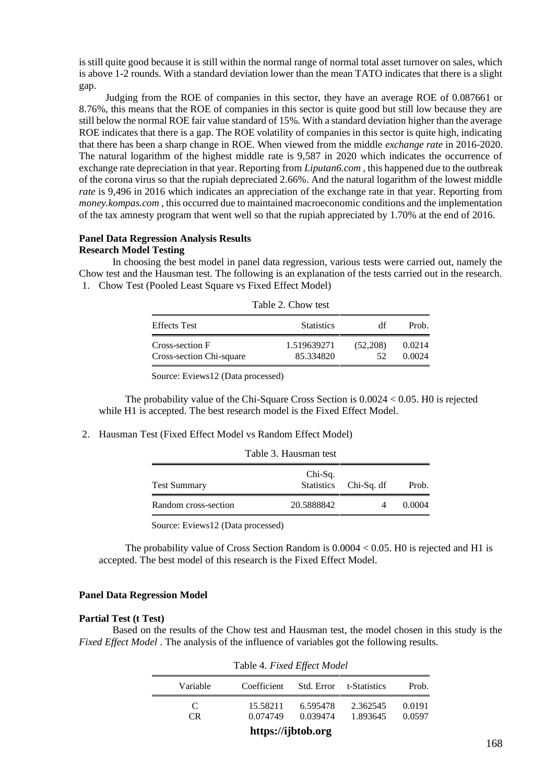is still quite good because it is still within the normal range of normal total asset turnover on sales, which is above 1-2 rounds. With a standard deviation lower than the mean TATO indicates that there is a slight gap.

Judging from the ROE of companies in this sector, they have an average ROE of 0.087661 or 8.76%, this means that the ROE of companies in this sector is quite good but still low because they are still below the normal ROE fair value standard of 15%. With a standard deviation higher than the average ROE indicates that there is a gap. The ROE volatility of companies in this sector is quite high, indicating that there has been a sharp change in ROE. When viewed from the middle *exchange rate* in 2016-2020. The natural logarithm of the highest middle rate is 9,587 in 2020 which indicates the occurrence of exchange rate depreciation in that year. Reporting from *Liputan6.com* , this happened due to the outbreak of the corona virus so that the rupiah depreciated 2.66%. And the natural logarithm of the lowest middle *rate* is 9,496 in 2016 which indicates an appreciation of the exchange rate in that year. Reporting from *money.kompas.com* , this occurred due to maintained macroeconomic conditions and the implementation of the tax amnesty program that went well so that the rupiah appreciated by 1.70% at the end of 2016.

### **Panel Data Regression Analysis Results Research Model Testing**

In choosing the best model in panel data regression, various tests were carried out, namely the Chow test and the Hausman test. The following is an explanation of the tests carried out in the research. 1. Chow Test (Pooled Least Square vs Fixed Effect Model)

|                                             | $10010 E$ . Onon tool    |                |                  |
|---------------------------------------------|--------------------------|----------------|------------------|
| <b>Effects</b> Test                         | <b>Statistics</b>        | df             | Prob.            |
| Cross-section F<br>Cross-section Chi-square | 1.519639271<br>85.334820 | (52,208)<br>52 | 0.0214<br>0.0024 |

| Table 2. Chow test |
|--------------------|
|                    |

Source: Eviews12 (Data processed)

The probability value of the Chi-Square Cross Section is 0.0024 < 0.05. H0 is rejected while H1 is accepted. The best research model is the Fixed Effect Model.

2. Hausman Test (Fixed Effect Model vs Random Effect Model)

| <b>Test Summary</b>  | Chi-Sq.    |                       |        |
|----------------------|------------|-----------------------|--------|
|                      |            | Statistics Chi-Sq. df | Prob.  |
| Random cross-section | 20.5888842 |                       | 0.0004 |

Source: Eviews12 (Data processed)

The probability value of Cross Section Random is 0.0004 < 0.05. H0 is rejected and H1 is accepted. The best model of this research is the Fixed Effect Model.

## **Panel Data Regression Model**

## **Partial Test (t Test)**

Based on the results of the Chow test and Hausman test, the model chosen in this study is the *Fixed Effect Model* . The analysis of the influence of variables got the following results.

| Table 4. Fixed Effect Model |                      |                      |                         |                  |
|-----------------------------|----------------------|----------------------|-------------------------|------------------|
| Variable                    | Coefficient          |                      | Std. Error t-Statistics | Prob.            |
| C<br>CR.                    | 15.58211<br>0.074749 | 6.595478<br>0.039474 | 2.362545<br>1.893645    | 0.0191<br>0.0597 |
| https://ijbtob.org          |                      |                      |                         |                  |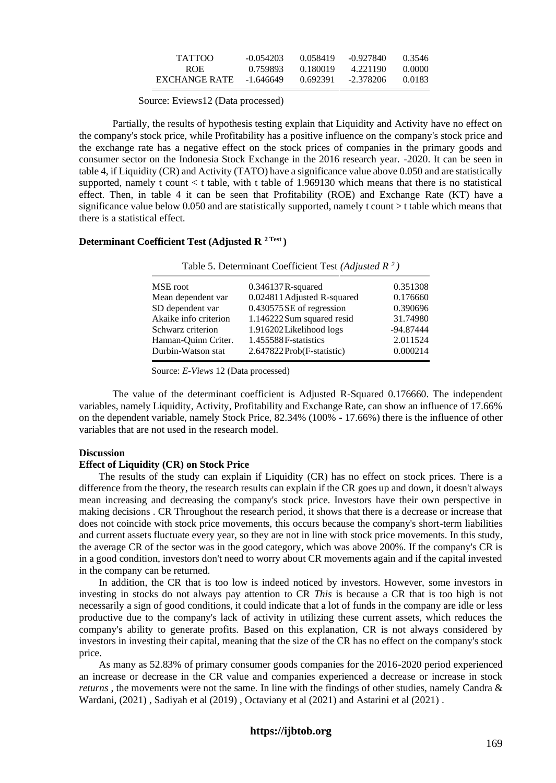| TATTOO        | $-0.054203$ | 0.058419 | -0.927840   | 0.3546 |
|---------------|-------------|----------|-------------|--------|
| <b>ROE</b>    | 0.759893    | 0.180019 | 4.221190    | 0.0000 |
| EXCHANGE RATE | -1.646649   | 0.692391 | $-2.378206$ | 0.0183 |

Source: Eviews12 (Data processed)

Partially, the results of hypothesis testing explain that Liquidity and Activity have no effect on the company's stock price, while Profitability has a positive influence on the company's stock price and the exchange rate has a negative effect on the stock prices of companies in the primary goods and consumer sector on the Indonesia Stock Exchange in the 2016 research year. -2020. It can be seen in table 4, if Liquidity (CR) and Activity (TATO) have a significance value above 0.050 and are statistically supported, namely t count  $\lt$  t table, with t table of 1.969130 which means that there is no statistical effect. Then, in table 4 it can be seen that Profitability (ROE) and Exchange Rate (KT) have a significance value below  $0.050$  and are statistically supported, namely t count  $>$ t table which means that there is a statistical effect.

## **Determinant Coefficient Test (Adjusted R 2 Test )**

| Table 5. Determinant Coefficient Test (Adjusted $R^2$ ) |                             |             |  |  |
|---------------------------------------------------------|-----------------------------|-------------|--|--|
| MSE root                                                | $0.346137R$ -squared        | 0.351308    |  |  |
| Mean dependent var                                      | 0.024811 Adjusted R-squared | 0.176660    |  |  |
| SD dependent var                                        | 0.430575 SE of regression   | 0.390696    |  |  |
| Akaike info criterion                                   | 1.146222Sum squared resid   | 31.74980    |  |  |
| Schwarz criterion                                       | 1.916202Likelihood logs     | $-94.87444$ |  |  |
| Hannan-Quinn Criter.                                    | 1.455588F-statistics        | 2.011524    |  |  |
| Durbin-Watson stat                                      | 2.647822Prob(F-statistic)   | 0.000214    |  |  |

Source: *E-Views* 12 (Data processed)

The value of the determinant coefficient is Adjusted R-Squared 0.176660. The independent variables, namely Liquidity, Activity, Profitability and Exchange Rate, can show an influence of 17.66% on the dependent variable, namely Stock Price, 82.34% (100% - 17.66%) there is the influence of other variables that are not used in the research model.

## **Discussion**

#### **Effect of Liquidity (CR) on Stock Price**

The results of the study can explain if Liquidity (CR) has no effect on stock prices. There is a difference from the theory, the research results can explain if the CR goes up and down, it doesn't always mean increasing and decreasing the company's stock price. Investors have their own perspective in making decisions . CR Throughout the research period, it shows that there is a decrease or increase that does not coincide with stock price movements, this occurs because the company's short-term liabilities and current assets fluctuate every year, so they are not in line with stock price movements. In this study, the average CR of the sector was in the good category, which was above 200%. If the company's CR is in a good condition, investors don't need to worry about CR movements again and if the capital invested in the company can be returned.

In addition, the CR that is too low is indeed noticed by investors. However, some investors in investing in stocks do not always pay attention to CR *This* is because a CR that is too high is not necessarily a sign of good conditions, it could indicate that a lot of funds in the company are idle or less productive due to the company's lack of activity in utilizing these current assets, which reduces the company's ability to generate profits. Based on this explanation, CR is not always considered by investors in investing their capital, meaning that the size of the CR has no effect on the company's stock price.

As many as 52.83% of primary consumer goods companies for the 2016-2020 period experienced an increase or decrease in the CR value and companies experienced a decrease or increase in stock *returns* , the movements were not the same. In line with the findings of other studies, namely Candra & Wardani, (2021) , Sadiyah et al (2019) , Octaviany et al (2021) and Astarini et al (2021) .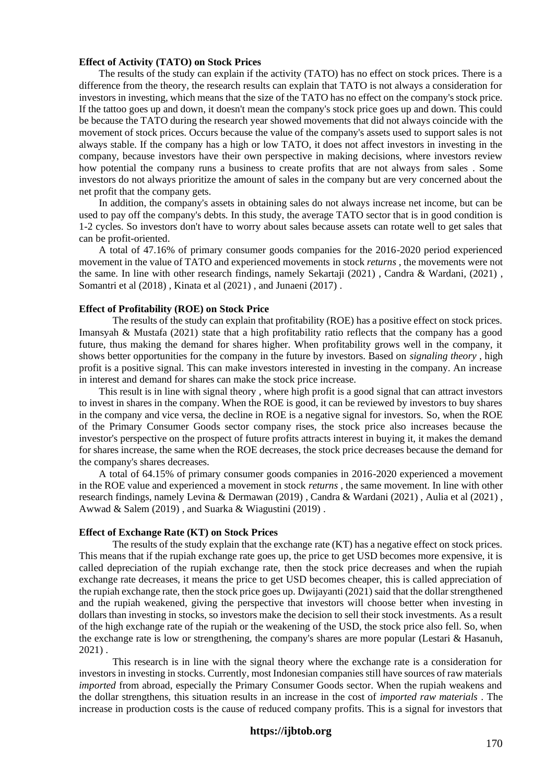#### **Effect of Activity (TATO) on Stock Prices**

The results of the study can explain if the activity (TATO) has no effect on stock prices. There is a difference from the theory, the research results can explain that TATO is not always a consideration for investors in investing, which means that the size of the TATO has no effect on the company's stock price. If the tattoo goes up and down, it doesn't mean the company's stock price goes up and down. This could be because the TATO during the research year showed movements that did not always coincide with the movement of stock prices. Occurs because the value of the company's assets used to support sales is not always stable. If the company has a high or low TATO, it does not affect investors in investing in the company, because investors have their own perspective in making decisions, where investors review how potential the company runs a business to create profits that are not always from sales . Some investors do not always prioritize the amount of sales in the company but are very concerned about the net profit that the company gets.

In addition, the company's assets in obtaining sales do not always increase net income, but can be used to pay off the company's debts. In this study, the average TATO sector that is in good condition is 1-2 cycles. So investors don't have to worry about sales because assets can rotate well to get sales that can be profit-oriented.

A total of 47.16% of primary consumer goods companies for the 2016-2020 period experienced movement in the value of TATO and experienced movements in stock *returns* , the movements were not the same. In line with other research findings, namely Sekartaji (2021) , Candra & Wardani, (2021) , Somantri et al (2018), Kinata et al (2021), and Junaeni (2017).

## **Effect of Profitability (ROE) on Stock Price**

The results of the study can explain that profitability (ROE) has a positive effect on stock prices. Imansyah & Mustafa (2021) state that a high profitability ratio reflects that the company has a good future, thus making the demand for shares higher. When profitability grows well in the company, it shows better opportunities for the company in the future by investors. Based on *signaling theory* , high profit is a positive signal. This can make investors interested in investing in the company. An increase in interest and demand for shares can make the stock price increase.

This result is in line with signal theory *,* where high profit is a good signal that can attract investors to invest in shares in the company. When the ROE is good, it can be reviewed by investors to buy shares in the company and vice versa, the decline in ROE is a negative signal for investors. So, when the ROE of the Primary Consumer Goods sector company rises, the stock price also increases because the investor's perspective on the prospect of future profits attracts interest in buying it, it makes the demand for shares increase, the same when the ROE decreases, the stock price decreases because the demand for the company's shares decreases.

A total of 64.15% of primary consumer goods companies in 2016-2020 experienced a movement in the ROE value and experienced a movement in stock *returns* , the same movement. In line with other research findings, namely Levina & Dermawan (2019) , Candra & Wardani (2021) , Aulia et al (2021) , Awwad & Salem (2019) , and Suarka & Wiagustini (2019) .

#### **Effect of Exchange Rate (KT) on Stock Prices**

The results of the study explain that the exchange rate (KT) has a negative effect on stock prices. This means that if the rupiah exchange rate goes up, the price to get USD becomes more expensive, it is called depreciation of the rupiah exchange rate, then the stock price decreases and when the rupiah exchange rate decreases, it means the price to get USD becomes cheaper, this is called appreciation of the rupiah exchange rate, then the stock price goes up. Dwijayanti (2021) said that the dollar strengthened and the rupiah weakened, giving the perspective that investors will choose better when investing in dollars than investing in stocks, so investors make the decision to sell their stock investments. As a result of the high exchange rate of the rupiah or the weakening of the USD, the stock price also fell. So, when the exchange rate is low or strengthening, the company's shares are more popular (Lestari & Hasanuh, 2021) .

This research is in line with the signal theory where the exchange rate is a consideration for investors in investing in stocks. Currently, most Indonesian companies still have sources of raw materials *imported* from abroad, especially the Primary Consumer Goods sector. When the rupiah weakens and the dollar strengthens, this situation results in an increase in the cost of *imported raw materials* . The increase in production costs is the cause of reduced company profits. This is a signal for investors that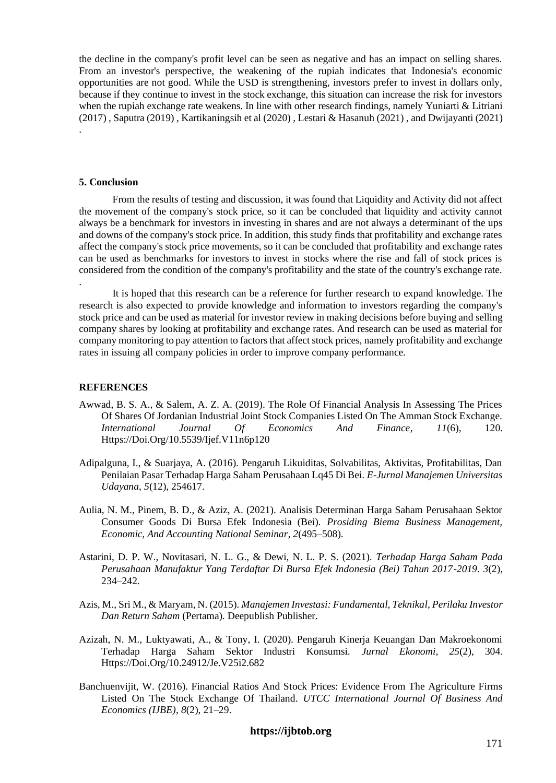the decline in the company's profit level can be seen as negative and has an impact on selling shares. From an investor's perspective, the weakening of the rupiah indicates that Indonesia's economic opportunities are not good. While the USD is strengthening, investors prefer to invest in dollars only, because if they continue to invest in the stock exchange, this situation can increase the risk for investors when the rupiah exchange rate weakens. In line with other research findings, namely Yuniarti & Litriani (2017) , Saputra (2019) , Kartikaningsih et al (2020) , Lestari & Hasanuh (2021) , and Dwijayanti (2021) .

### **5. Conclusion**

.

From the results of testing and discussion, it was found that Liquidity and Activity did not affect the movement of the company's stock price, so it can be concluded that liquidity and activity cannot always be a benchmark for investors in investing in shares and are not always a determinant of the ups and downs of the company's stock price. In addition, this study finds that profitability and exchange rates affect the company's stock price movements, so it can be concluded that profitability and exchange rates can be used as benchmarks for investors to invest in stocks where the rise and fall of stock prices is considered from the condition of the company's profitability and the state of the country's exchange rate.

It is hoped that this research can be a reference for further research to expand knowledge. The research is also expected to provide knowledge and information to investors regarding the company's stock price and can be used as material for investor review in making decisions before buying and selling company shares by looking at profitability and exchange rates. And research can be used as material for company monitoring to pay attention to factors that affect stock prices, namely profitability and exchange rates in issuing all company policies in order to improve company performance.

## **REFERENCES**

- Awwad, B. S. A., & Salem, A. Z. A. (2019). The Role Of Financial Analysis In Assessing The Prices Of Shares Of Jordanian Industrial Joint Stock Companies Listed On The Amman Stock Exchange. *International Journal Of Economics And Finance*, *11*(6), 120. Https://Doi.Org/10.5539/Ijef.V11n6p120
- Adipalguna, I., & Suarjaya, A. (2016). Pengaruh Likuiditas, Solvabilitas, Aktivitas, Profitabilitas, Dan Penilaian Pasar Terhadap Harga Saham Perusahaan Lq45 Di Bei. *E-Jurnal Manajemen Universitas Udayana*, *5*(12), 254617.
- Aulia, N. M., Pinem, B. D., & Aziz, A. (2021). Analisis Determinan Harga Saham Perusahaan Sektor Consumer Goods Di Bursa Efek Indonesia (Bei). *Prosiding Biema Business Management, Economic, And Accounting National Seminar*, *2*(495–508).
- Astarini, D. P. W., Novitasari, N. L. G., & Dewi, N. L. P. S. (2021). *Terhadap Harga Saham Pada Perusahaan Manufaktur Yang Terdaftar Di Bursa Efek Indonesia (Bei) Tahun 2017-2019*. *3*(2), 234–242.
- Azis, M., Sri M., & Maryam, N. (2015). *Manajemen Investasi: Fundamental, Teknikal, Perilaku Investor Dan Return Saham* (Pertama). Deepublish Publisher.
- Azizah, N. M., Luktyawati, A., & Tony, I. (2020). Pengaruh Kinerja Keuangan Dan Makroekonomi Terhadap Harga Saham Sektor Industri Konsumsi. *Jurnal Ekonomi*, *25*(2), 304. Https://Doi.Org/10.24912/Je.V25i2.682
- Banchuenvijit, W. (2016). Financial Ratios And Stock Prices: Evidence From The Agriculture Firms Listed On The Stock Exchange Of Thailand. *UTCC International Journal Of Business And Economics (IJBE)*, *8*(2), 21–29.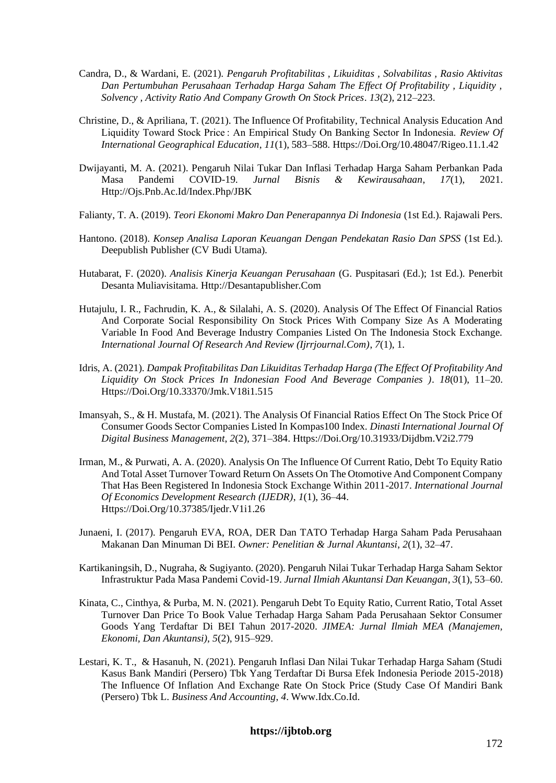- Candra, D., & Wardani, E. (2021). *Pengaruh Profitabilitas , Likuiditas , Solvabilitas , Rasio Aktivitas Dan Pertumbuhan Perusahaan Terhadap Harga Saham The Effect Of Profitability , Liquidity , Solvency , Activity Ratio And Company Growth On Stock Prices*. *13*(2), 212–223.
- Christine, D., & Apriliana, T. (2021). The Influence Of Profitability, Technical Analysis Education And Liquidity Toward Stock Price : An Empirical Study On Banking Sector In Indonesia. *Review Of International Geographical Education*, *11*(1), 583–588. Https://Doi.Org/10.48047/Rigeo.11.1.42
- Dwijayanti, M. A. (2021). Pengaruh Nilai Tukar Dan Inflasi Terhadap Harga Saham Perbankan Pada Masa Pandemi COVID-19. *Jurnal Bisnis & Kewirausahaan*, *17*(1), 2021. Http://Ojs.Pnb.Ac.Id/Index.Php/JBK
- Falianty, T. A. (2019). *Teori Ekonomi Makro Dan Penerapannya Di Indonesia* (1st Ed.). Rajawali Pers.
- Hantono. (2018). *Konsep Analisa Laporan Keuangan Dengan Pendekatan Rasio Dan SPSS* (1st Ed.). Deepublish Publisher (CV Budi Utama).
- Hutabarat, F. (2020). *Analisis Kinerja Keuangan Perusahaan* (G. Puspitasari (Ed.); 1st Ed.). Penerbit Desanta Muliavisitama. Http://Desantapublisher.Com
- Hutajulu, I. R., Fachrudin, K. A., & Silalahi, A. S. (2020). Analysis Of The Effect Of Financial Ratios And Corporate Social Responsibility On Stock Prices With Company Size As A Moderating Variable In Food And Beverage Industry Companies Listed On The Indonesia Stock Exchange. *International Journal Of Research And Review (Ijrrjournal.Com)*, *7*(1), 1.
- Idris, A. (2021). *Dampak Profitabilitas Dan Likuiditas Terhadap Harga (The Effect Of Profitability And Liquidity On Stock Prices In Indonesian Food And Beverage Companies )*. *18*(01), 11–20. Https://Doi.Org/10.33370/Jmk.V18i1.515
- Imansyah, S., & H. Mustafa, M. (2021). The Analysis Of Financial Ratios Effect On The Stock Price Of Consumer Goods Sector Companies Listed In Kompas100 Index. *Dinasti International Journal Of Digital Business Management*, *2*(2), 371–384. Https://Doi.Org/10.31933/Dijdbm.V2i2.779
- Irman, M., & Purwati, A. A. (2020). Analysis On The Influence Of Current Ratio, Debt To Equity Ratio And Total Asset Turnover Toward Return On Assets On The Otomotive And Component Company That Has Been Registered In Indonesia Stock Exchange Within 2011-2017. *International Journal Of Economics Development Research (IJEDR)*, *1*(1), 36–44. Https://Doi.Org/10.37385/Ijedr.V1i1.26
- Junaeni, I. (2017). Pengaruh EVA, ROA, DER Dan TATO Terhadap Harga Saham Pada Perusahaan Makanan Dan Minuman Di BEI. *Owner: Penelitian & Jurnal Akuntansi*, *2*(1), 32–47.
- Kartikaningsih, D., Nugraha, & Sugiyanto. (2020). Pengaruh Nilai Tukar Terhadap Harga Saham Sektor Infrastruktur Pada Masa Pandemi Covid-19. *Jurnal Ilmiah Akuntansi Dan Keuangan*, *3*(1), 53–60.
- Kinata, C., Cinthya, & Purba, M. N. (2021). Pengaruh Debt To Equity Ratio, Current Ratio, Total Asset Turnover Dan Price To Book Value Terhadap Harga Saham Pada Perusahaan Sektor Consumer Goods Yang Terdaftar Di BEI Tahun 2017-2020. *JIMEA: Jurnal Ilmiah MEA (Manajemen, Ekonomi, Dan Akuntansi)*, *5*(2), 915–929.
- Lestari, K. T., & Hasanuh, N. (2021). Pengaruh Inflasi Dan Nilai Tukar Terhadap Harga Saham (Studi Kasus Bank Mandiri (Persero) Tbk Yang Terdaftar Di Bursa Efek Indonesia Periode 2015-2018) The Influence Of Inflation And Exchange Rate On Stock Price (Study Case Of Mandiri Bank (Persero) Tbk L. *Business And Accounting*, *4*. Www.Idx.Co.Id.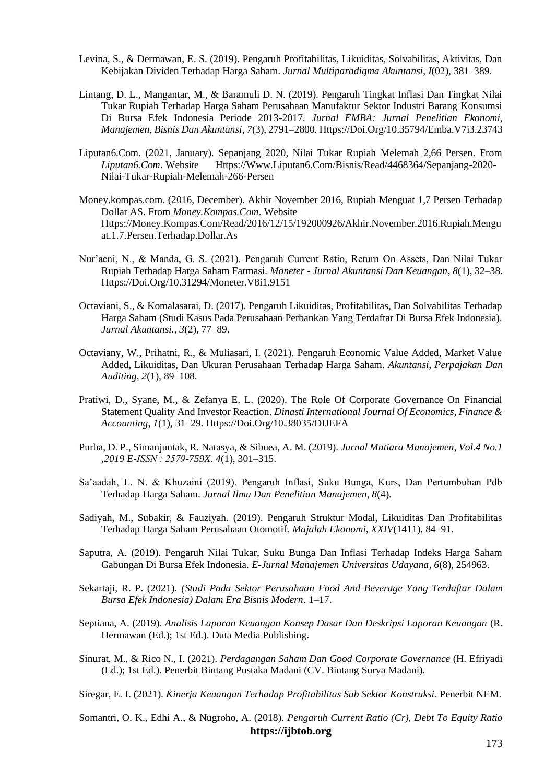- Levina, S., & Dermawan, E. S. (2019). Pengaruh Profitabilitas, Likuiditas, Solvabilitas, Aktivitas, Dan Kebijakan Dividen Terhadap Harga Saham. *Jurnal Multiparadigma Akuntansi*, *I*(02), 381–389.
- Lintang, D. L., Mangantar, M., & Baramuli D. N. (2019). Pengaruh Tingkat Inflasi Dan Tingkat Nilai Tukar Rupiah Terhadap Harga Saham Perusahaan Manufaktur Sektor Industri Barang Konsumsi Di Bursa Efek Indonesia Periode 2013-2017. *Jurnal EMBA: Jurnal Penelitian Ekonomi, Manajemen, Bisnis Dan Akuntansi*, *7*(3), 2791–2800. Https://Doi.Org/10.35794/Emba.V7i3.23743
- Liputan6.Com. (2021, January). Sepanjang 2020, Nilai Tukar Rupiah Melemah 2,66 Persen. From *Liputan6.Com*. Website Https://Www.Liputan6.Com/Bisnis/Read/4468364/Sepanjang-2020- Nilai-Tukar-Rupiah-Melemah-266-Persen
- Money.kompas.com. (2016, December). Akhir November 2016, Rupiah Menguat 1,7 Persen Terhadap Dollar AS. From *Money.Kompas.Com*. Website Https://Money.Kompas.Com/Read/2016/12/15/192000926/Akhir.November.2016.Rupiah.Mengu at.1.7.Persen.Terhadap.Dollar.As
- Nur'aeni, N., & Manda, G. S. (2021). Pengaruh Current Ratio, Return On Assets, Dan Nilai Tukar Rupiah Terhadap Harga Saham Farmasi. *Moneter - Jurnal Akuntansi Dan Keuangan*, *8*(1), 32–38. Https://Doi.Org/10.31294/Moneter.V8i1.9151
- Octaviani, S., & Komalasarai, D. (2017). Pengaruh Likuiditas, Profitabilitas, Dan Solvabilitas Terhadap Harga Saham (Studi Kasus Pada Perusahaan Perbankan Yang Terdaftar Di Bursa Efek Indonesia). *Jurnal Akuntansi.*, *3*(2), 77–89.
- Octaviany, W., Prihatni, R., & Muliasari, I. (2021). Pengaruh Economic Value Added, Market Value Added, Likuiditas, Dan Ukuran Perusahaan Terhadap Harga Saham. *Akuntansi, Perpajakan Dan Auditing*, *2*(1), 89–108.
- Pratiwi, D., Syane, M., & Zefanya E. L. (2020). The Role Of Corporate Governance On Financial Statement Quality And Investor Reaction. *Dinasti International Journal Of Economics, Finance & Accounting*, *1*(1), 31–29. Https://Doi.Org/10.38035/DIJEFA
- Purba, D. P., Simanjuntak, R. Natasya, & Sibuea, A. M. (2019). *Jurnal Mutiara Manajemen, Vol.4 No.1 ,2019 E-ISSN : 2579-759X*. *4*(1), 301–315.
- Sa'aadah, L. N. & Khuzaini (2019). Pengaruh Inflasi, Suku Bunga, Kurs, Dan Pertumbuhan Pdb Terhadap Harga Saham. *Jurnal Ilmu Dan Penelitian Manajemen*, *8*(4).
- Sadiyah, M., Subakir, & Fauziyah. (2019). Pengaruh Struktur Modal, Likuiditas Dan Profitabilitas Terhadap Harga Saham Perusahaan Otomotif. *Majalah Ekonomi*, *XXIV*(1411), 84–91.
- Saputra, A. (2019). Pengaruh Nilai Tukar, Suku Bunga Dan Inflasi Terhadap Indeks Harga Saham Gabungan Di Bursa Efek Indonesia. *E-Jurnal Manajemen Universitas Udayana*, *6*(8), 254963.
- Sekartaji, R. P. (2021). *(Studi Pada Sektor Perusahaan Food And Beverage Yang Terdaftar Dalam Bursa Efek Indonesia) Dalam Era Bisnis Modern*. 1–17.
- Septiana, A. (2019). *Analisis Laporan Keuangan Konsep Dasar Dan Deskripsi Laporan Keuangan* (R. Hermawan (Ed.); 1st Ed.). Duta Media Publishing.
- Sinurat, M., & Rico N., I. (2021). *Perdagangan Saham Dan Good Corporate Governance* (H. Efriyadi (Ed.); 1st Ed.). Penerbit Bintang Pustaka Madani (CV. Bintang Surya Madani).

Siregar, E. I. (2021). *Kinerja Keuangan Terhadap Profitabilitas Sub Sektor Konstruksi*. Penerbit NEM.

**https://ijbtob.org** Somantri, O. K., Edhi A., & Nugroho, A. (2018). *Pengaruh Current Ratio (Cr), Debt To Equity Ratio*